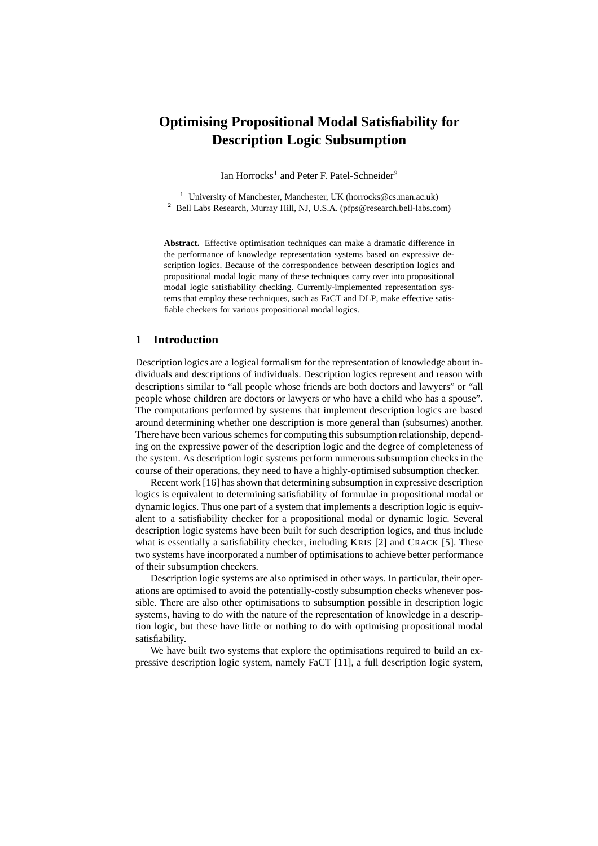# **Optimising Propositional Modal Satisfiability for Description Logic Subsumption**

Ian Horrocks<sup>1</sup> and Peter F. Patel-Schneider<sup>2</sup>

<sup>1</sup> University of Manchester, Manchester, UK (horrocks@cs.man.ac.uk) <sup>2</sup> Bell Labs Research, Murray Hill, NJ, U.S.A. (pfps@research.bell-labs.com)

**Abstract.** Effective optimisation techniques can make a dramatic difference in the performance of knowledge representation systems based on expressive description logics. Because of the correspondence between description logics and propositional modal logic many of these techniques carry over into propositional modal logic satisfiability checking. Currently-implemented representation systems that employ these techniques, such as FaCT and DLP, make effective satisfiable checkers for various propositional modal logics.

### **1 Introduction**

Description logics are a logical formalism for the representation of knowledge about individuals and descriptions of individuals. Description logics represent and reason with descriptions similar to "all people whose friends are both doctors and lawyers" or "all people whose children are doctors or lawyers or who have a child who has a spouse". The computations performed by systems that implement description logics are based around determining whether one description is more general than (subsumes) another. There have been various schemes for computing this subsumption relationship, depending on the expressive power of the description logic and the degree of completeness of the system. As description logic systems perform numerous subsumption checks in the course of their operations, they need to have a highly-optimised subsumption checker.

Recent work [16] has shown that determining subsumption in expressive description logics is equivalent to determining satisfiability of formulae in propositional modal or dynamic logics. Thus one part of a system that implements a description logic is equivalent to a satisfiability checker for a propositional modal or dynamic logic. Several description logic systems have been built for such description logics, and thus include what is essentially a satisfiability checker, including KRIS [2] and CRACK [5]. These two systems have incorporated a number of optimisations to achieve better performance of their subsumption checkers.

Description logic systems are also optimised in other ways. In particular, their operations are optimised to avoid the potentially-costly subsumption checks whenever possible. There are also other optimisations to subsumption possible in description logic systems, having to do with the nature of the representation of knowledge in a description logic, but these have little or nothing to do with optimising propositional modal satisfiability.

We have built two systems that explore the optimisations required to build an expressive description logic system, namely FaCT [11], a full description logic system,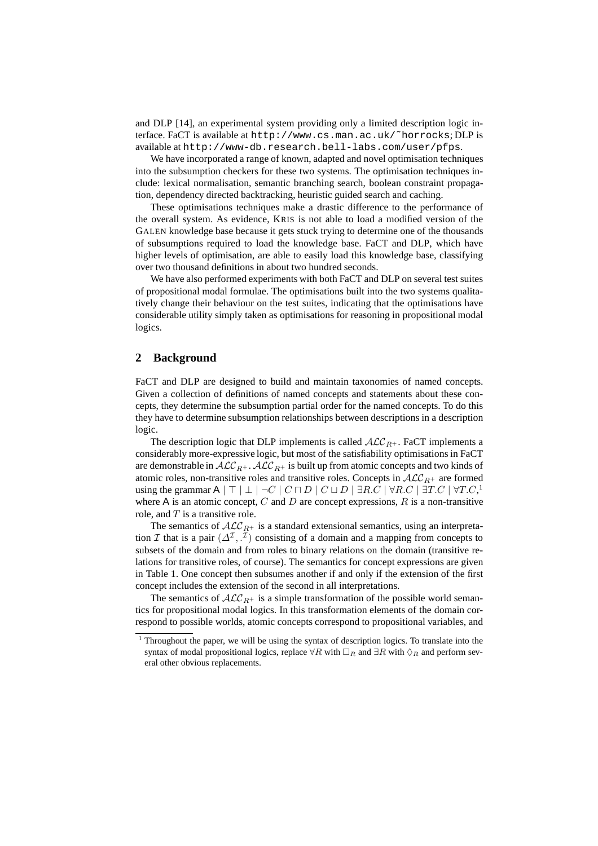and DLP [14], an experimental system providing only a limited description logic interface. FaCT is available at http://www.cs.man.ac.uk/˜horrocks; DLP is available at http://www-db.research.bell-labs.com/user/pfps.

We have incorporated a range of known, adapted and novel optimisation techniques into the subsumption checkers for these two systems. The optimisation techniques include: lexical normalisation, semantic branching search, boolean constraint propagation, dependency directed backtracking, heuristic guided search and caching.

These optimisations techniques make a drastic difference to the performance of the overall system. As evidence, KRIS is not able to load a modified version of the GALEN knowledge base because it gets stuck trying to determine one of the thousands of subsumptions required to load the knowledge base. FaCT and DLP, which have higher levels of optimisation, are able to easily load this knowledge base, classifying over two thousand definitions in about two hundred seconds.

We have also performed experiments with both FaCT and DLP on several test suites of propositional modal formulae. The optimisations built into the two systems qualitatively change their behaviour on the test suites, indicating that the optimisations have considerable utility simply taken as optimisations for reasoning in propositional modal logics.

#### **2 Background**

FaCT and DLP are designed to build and maintain taxonomies of named concepts. Given a collection of definitions of named concepts and statements about these concepts, they determine the subsumption partial order for the named concepts. To do this they have to determine subsumption relationships between descriptions in a description logic.

The description logic that DLP implements is called  $\mathcal{ALC}_{R^+}$ . FaCT implements a considerably more-expressive logic, but most of the satisfiability optimisations in FaCT are demonstrable in  $\mathcal{ALC}_{R+}$ .  $\mathcal{ALC}_{R+}$  is built up from atomic concepts and two kinds of atomic roles, non-transitive roles and transitive roles. Concepts in  $ALC_{R+}$  are formed using the grammar A  $|\top|\perp|\neg C$   $|C \sqcap D$   $|C \sqcup D$   $|\exists R.C$   $|\forall R.C$   $|\exists T.C$   $|\forall T.C$ ,<sup>1</sup> where A is an atomic concept,  $C$  and  $D$  are concept expressions,  $R$  is a non-transitive role, and  $T$  is a transitive role.

The semantics of  $\mathcal{ALC}_{R+}$  is a standard extensional semantics, using an interpretation *I* that is a pair  $(\Delta^{\mathcal{I}}, \tilde{\mathcal{I}})$  consisting of a domain and a mapping from concepts to subsets of the domain and from roles to binary relations on the domain (transitive relations for transitive roles, of course). The semantics for concept expressions are given in Table 1. One concept then subsumes another if and only if the extension of the first concept includes the extension of the second in all interpretations.

The semantics of  $ALC_{R+}$  is a simple transformation of the possible world semantics for propositional modal logics. In this transformation elements of the domain correspond to possible worlds, atomic concepts correspond to propositional variables, and

 $1$  Throughout the paper, we will be using the syntax of description logics. To translate into the syntax of modal propositional logics, replace  $\forall R$  with  $\Box_R$  and  $\exists R$  with  $\Diamond_R$  and perform several other obvious replacements.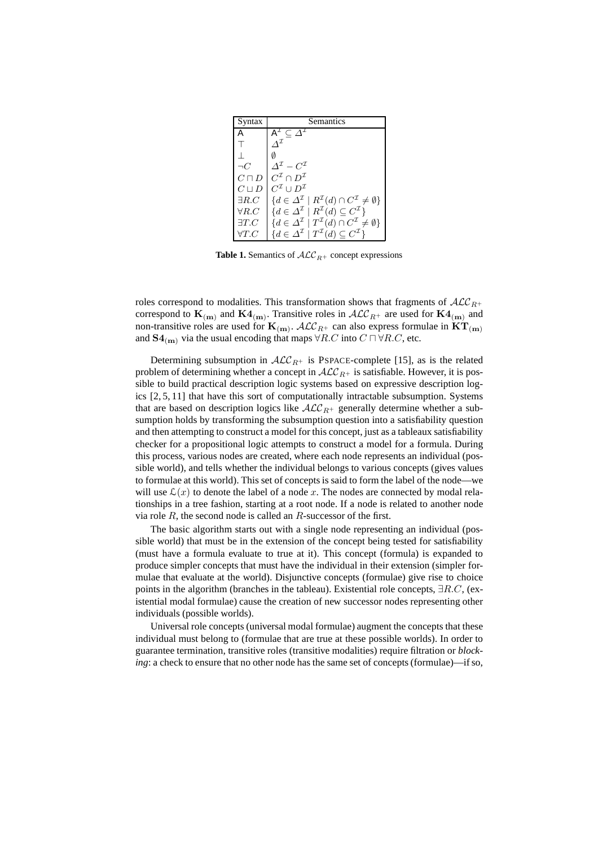| Syntax        | Semantics                                                                                    |  |  |  |  |  |  |  |  |
|---------------|----------------------------------------------------------------------------------------------|--|--|--|--|--|--|--|--|
| А             | $\mathsf{A}^{\scriptscriptstyle\mathcal{L}}\subset \mathit{\Delta}^{\mathcal{I}}$            |  |  |  |  |  |  |  |  |
|               |                                                                                              |  |  |  |  |  |  |  |  |
|               |                                                                                              |  |  |  |  |  |  |  |  |
| $\neg C$      | $A^{\mathcal{I}}-C^{\mathcal{I}}$                                                            |  |  |  |  |  |  |  |  |
| $C\sqcap D$   | $C^{\mathcal{I}}\cap D^{\mathcal{I}}$                                                        |  |  |  |  |  |  |  |  |
| $C \sqcup D$  | $C^{\mathcal{I}} \cup D^{\mathcal{I}}$                                                       |  |  |  |  |  |  |  |  |
| $\exists R.C$ | $\{d \in \Delta^{\mathcal{I}} \mid R^{\mathcal{I}}(d) \cap C^{\mathcal{I}} \neq \emptyset\}$ |  |  |  |  |  |  |  |  |
| $\forall R.C$ | $\{d \in \Delta^{\mathcal{I}} \mid R^{\mathcal{I}}(d) \subseteq C^{\mathcal{I}}\}\$          |  |  |  |  |  |  |  |  |
| $\exists T.C$ | $\{d \in \Delta^{\mathcal{I}} \mid T^{\mathcal{I}}(d) \cap C^{\mathcal{I}} \neq \emptyset\}$ |  |  |  |  |  |  |  |  |
| $\forall T.C$ | $\{d \in \Delta^{\mathcal{I}} \mid T^{\mathcal{I}}(d) \subseteq C^{\mathcal{I}}\}$           |  |  |  |  |  |  |  |  |

**Table 1.** Semantics of  $\mathcal{ALC}_{R+}$  concept expressions

roles correspond to modalities. This transformation shows that fragments of  $\mathcal{ALC}_{R+}$ correspond to  $\mathbf{K_{(m)}}$  and  $\mathbf{K4_{(m)}}$ . Transitive roles in  $\mathcal{ALC}_{R^+}$  are used for  $\mathbf{K4_{(m)}}$  and non-transitive roles are used for  $K_{(m)}$ .  $\cal{ALC}_R$ + can also express formulae in  $\rm \dot{KT}_{(m)}$ and  $S4_{(m)}$  via the usual encoding that maps  $\forall R.C$  into  $C \sqcap \forall R.C$ , etc.

Determining subsumption in  $ALC_{R+}$  is PSPACE-complete [15], as is the related problem of determining whether a concept in  $ALC_{R+}$  is satisfiable. However, it is possible to build practical description logic systems based on expressive description logics [2, 5, 11] that have this sort of computationally intractable subsumption. Systems that are based on description logics like  $ALC_{R+}$  generally determine whether a subsumption holds by transforming the subsumption question into a satisfiability question and then attempting to construct a model for this concept, just as a tableaux satisfiability checker for a propositional logic attempts to construct a model for a formula. During this process, various nodes are created, where each node represents an individual (possible world), and tells whether the individual belongs to various concepts (gives values to formulae at this world). This set of concepts is said to form the label of the node—we will use  $\mathcal{L}(x)$  to denote the label of a node x. The nodes are connected by modal relationships in a tree fashion, starting at a root node. If a node is related to another node via role  $R$ , the second node is called an  $R$ -successor of the first.

The basic algorithm starts out with a single node representing an individual (possible world) that must be in the extension of the concept being tested for satisfiability (must have a formula evaluate to true at it). This concept (formula) is expanded to produce simpler concepts that must have the individual in their extension (simpler formulae that evaluate at the world). Disjunctive concepts (formulae) give rise to choice points in the algorithm (branches in the tableau). Existential role concepts,  $\exists R.C$ , (existential modal formulae) cause the creation of new successor nodes representing other individuals (possible worlds).

Universal role concepts (universal modal formulae) augment the concepts that these individual must belong to (formulae that are true at these possible worlds). In order to guarantee termination, transitive roles (transitive modalities) require filtration or *blocking*: a check to ensure that no other node has the same set of concepts (formulae)—if so,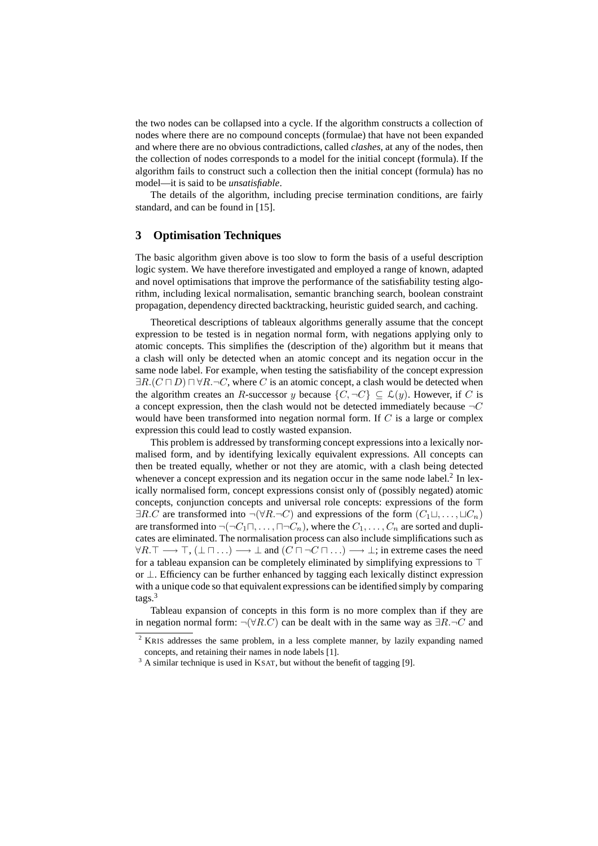the two nodes can be collapsed into a cycle. If the algorithm constructs a collection of nodes where there are no compound concepts (formulae) that have not been expanded and where there are no obvious contradictions, called *clashes*, at any of the nodes, then the collection of nodes corresponds to a model for the initial concept (formula). If the algorithm fails to construct such a collection then the initial concept (formula) has no model—it is said to be *unsatisfiable*.

The details of the algorithm, including precise termination conditions, are fairly standard, and can be found in [15].

## **3 Optimisation Techniques**

The basic algorithm given above is too slow to form the basis of a useful description logic system. We have therefore investigated and employed a range of known, adapted and novel optimisations that improve the performance of the satisfiability testing algorithm, including lexical normalisation, semantic branching search, boolean constraint propagation, dependency directed backtracking, heuristic guided search, and caching.

Theoretical descriptions of tableaux algorithms generally assume that the concept expression to be tested is in negation normal form, with negations applying only to atomic concepts. This simplifies the (description of the) algorithm but it means that a clash will only be detected when an atomic concept and its negation occur in the same node label. For example, when testing the satisfiability of the concept expression  $\exists R.(C \sqcap D) \sqcap \forall R.\neg C$ , where C is an atomic concept, a clash would be detected when the algorithm creates an R-successor y because  $\{C, \neg C\} \subseteq \mathcal{L}(y)$ . However, if C is a concept expression, then the clash would not be detected immediately because  $\neg C$ would have been transformed into negation normal form. If  $C$  is a large or complex expression this could lead to costly wasted expansion.

This problem is addressed by transforming concept expressions into a lexically normalised form, and by identifying lexically equivalent expressions. All concepts can then be treated equally, whether or not they are atomic, with a clash being detected whenever a concept expression and its negation occur in the same node label.<sup>2</sup> In lexically normalised form, concept expressions consist only of (possibly negated) atomic concepts, conjunction concepts and universal role concepts: expressions of the form  $\exists R.C$  are transformed into  $\neg(\forall R.\neg C)$  and expressions of the form  $(C_1\sqcup,\ldots,\sqcup C_n)$ are transformed into  $\neg(\neg C_1 \sqcap, \ldots, \sqcap \neg C_n)$ , where the  $C_1, \ldots, C_n$  are sorted and duplicates are eliminated. The normalisation process can also include simplifications such as  $\forall R.\top \longrightarrow \top$ ,  $(\bot \sqcap \ldots) \longrightarrow \bot$  and  $(C \sqcap \neg C \sqcap \ldots) \longrightarrow \bot$ ; in extreme cases the need for a tableau expansion can be completely eliminated by simplifying expressions to ⊤ or ⊥. Efficiency can be further enhanced by tagging each lexically distinct expression with a unique code so that equivalent expressions can be identified simply by comparing tags.<sup>3</sup>

Tableau expansion of concepts in this form is no more complex than if they are in negation normal form:  $\neg(\forall R.C)$  can be dealt with in the same way as  $\exists R.\neg C$  and

<sup>&</sup>lt;sup>2</sup> KRIS addresses the same problem, in a less complete manner, by lazily expanding named concepts, and retaining their names in node labels [1].

<sup>&</sup>lt;sup>3</sup> A similar technique is used in KSAT, but without the benefit of tagging [9].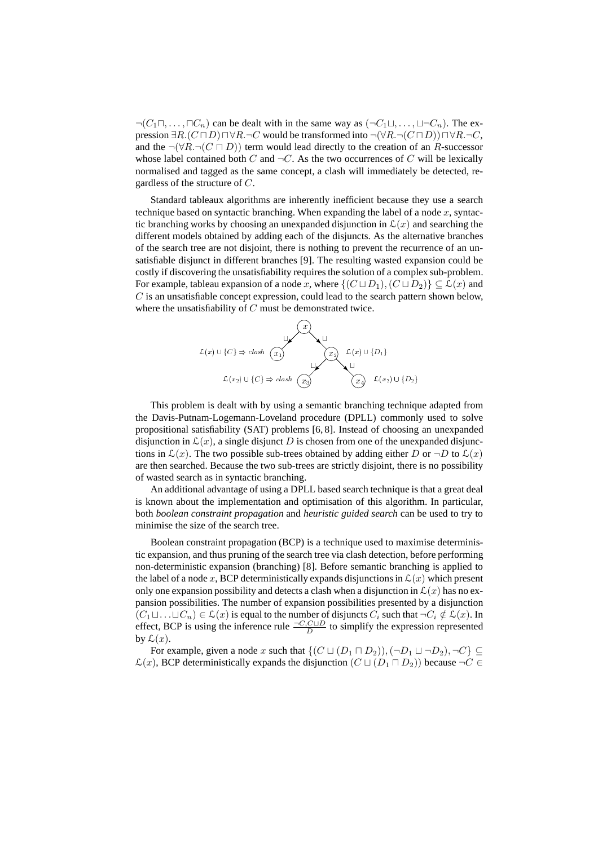$\neg(C_1 \sqcap, \ldots, \sqcap C_n)$  can be dealt with in the same way as  $(\neg C_1 \sqcup, \ldots, \sqcup \neg C_n)$ . The expression  $\exists R.(C \sqcap D) \sqcap \forall R.\neg C$  would be transformed into  $\neg(\forall R.\neg(C \sqcap D)) \sqcap \forall R.\neg C$ , and the  $\neg(\forall R.\neg(C \sqcap D))$  term would lead directly to the creation of an R-successor whose label contained both  $C$  and  $\neg C$ . As the two occurrences of  $C$  will be lexically normalised and tagged as the same concept, a clash will immediately be detected, regardless of the structure of C.

Standard tableaux algorithms are inherently inefficient because they use a search technique based on syntactic branching. When expanding the label of a node  $x$ , syntactic branching works by choosing an unexpanded disjunction in  $\mathcal{L}(x)$  and searching the different models obtained by adding each of the disjuncts. As the alternative branches of the search tree are not disjoint, there is nothing to prevent the recurrence of an unsatisfiable disjunct in different branches [9]. The resulting wasted expansion could be costly if discovering the unsatisfiability requires the solution of a complex sub-problem. For example, tableau expansion of a node x, where  $\{(C \sqcup D_1), (C \sqcup D_2)\} \subset \mathcal{L}(x)$  and  $C$  is an unsatisfiable concept expression, could lead to the search pattern shown below, where the unsatisfiability of  $C$  must be demonstrated twice.



This problem is dealt with by using a semantic branching technique adapted from the Davis-Putnam-Logemann-Loveland procedure (DPLL) commonly used to solve propositional satisfiability (SAT) problems [6, 8]. Instead of choosing an unexpanded disjunction in  $\mathcal{L}(x)$ , a single disjunct D is chosen from one of the unexpanded disjunctions in  $\mathcal{L}(x)$ . The two possible sub-trees obtained by adding either D or  $\neg D$  to  $\mathcal{L}(x)$ are then searched. Because the two sub-trees are strictly disjoint, there is no possibility of wasted search as in syntactic branching.

An additional advantage of using a DPLL based search technique is that a great deal is known about the implementation and optimisation of this algorithm. In particular, both *boolean constraint propagation* and *heuristic guided search* can be used to try to minimise the size of the search tree.

Boolean constraint propagation (BCP) is a technique used to maximise deterministic expansion, and thus pruning of the search tree via clash detection, before performing non-deterministic expansion (branching) [8]. Before semantic branching is applied to the label of a node x, BCP deterministically expands disjunctions in  $\mathcal{L}(x)$  which present only one expansion possibility and detects a clash when a disjunction in  $\mathcal{L}(x)$  has no expansion possibilities. The number of expansion possibilities presented by a disjunction  $(C_1\sqcup \ldots \sqcup C_n) \in \mathcal{L}(x)$  is equal to the number of disjuncts  $C_i$  such that  $\neg C_i \notin \mathcal{L}(x)$ . In effect, BCP is using the inference rule  $\frac{\neg C, C \sqcup D}{D}$  to simplify the expression represented by  $\mathcal{L}(x)$ .

For example, given a node x such that  $\{(C \sqcup (D_1 \sqcap D_2)), (\neg D_1 \sqcup \neg D_2), \neg C\} \subseteq$  $\mathcal{L}(x)$ , BCP deterministically expands the disjunction  $(C \sqcup (D_1 \sqcap D_2))$  because  $\neg C \in$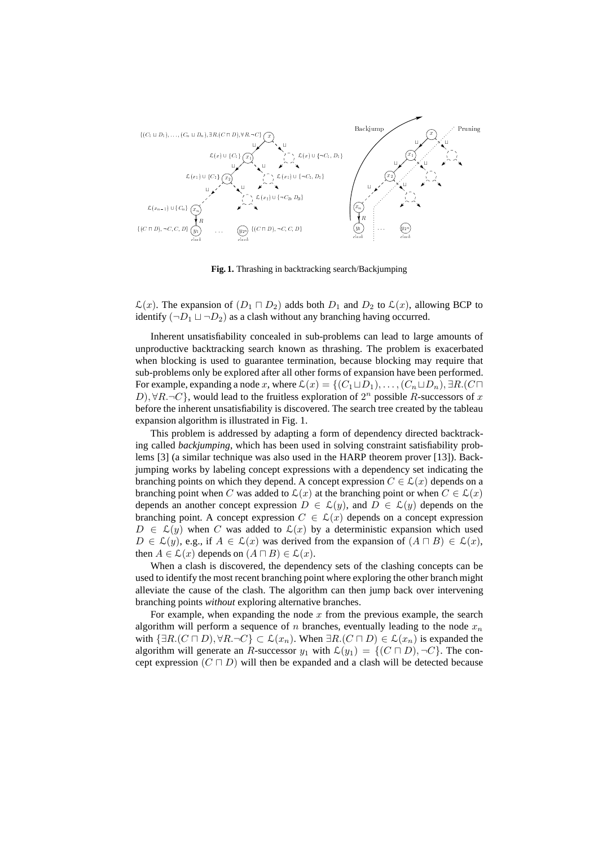

**Fig. 1.** Thrashing in backtracking search/Backjumping

 $\mathcal{L}(x)$ . The expansion of  $(D_1 \sqcap D_2)$  adds both  $D_1$  and  $D_2$  to  $\mathcal{L}(x)$ , allowing BCP to identify  $(\neg D_1 \sqcup \neg D_2)$  as a clash without any branching having occurred.

Inherent unsatisfiability concealed in sub-problems can lead to large amounts of unproductive backtracking search known as thrashing. The problem is exacerbated when blocking is used to guarantee termination, because blocking may require that sub-problems only be explored after all other forms of expansion have been performed. For example, expanding a node x, where  $\mathcal{L}(x) = \{ (C_1 \sqcup D_1), \ldots, (C_n \sqcup D_n), \exists R. (C \sqcap$ D),  $\forall R.\neg C$ }, would lead to the fruitless exploration of  $2^n$  possible R-successors of x before the inherent unsatisfiability is discovered. The search tree created by the tableau expansion algorithm is illustrated in Fig. 1.

This problem is addressed by adapting a form of dependency directed backtracking called *backjumping*, which has been used in solving constraint satisfiability problems [3] (a similar technique was also used in the HARP theorem prover [13]). Backjumping works by labeling concept expressions with a dependency set indicating the branching points on which they depend. A concept expression  $C \in \mathcal{L}(x)$  depends on a branching point when C was added to  $\mathcal{L}(x)$  at the branching point or when  $C \in \mathcal{L}(x)$ depends an another concept expression  $D \in \mathcal{L}(y)$ , and  $D \in \mathcal{L}(y)$  depends on the branching point. A concept expression  $C \in \mathcal{L}(x)$  depends on a concept expression  $D \in \mathcal{L}(y)$  when C was added to  $\mathcal{L}(x)$  by a deterministic expansion which used  $D \in \mathcal{L}(y)$ , e.g., if  $A \in \mathcal{L}(x)$  was derived from the expansion of  $(A \sqcap B) \in \mathcal{L}(x)$ , then  $A \in \mathcal{L}(x)$  depends on  $(A \sqcap B) \in \mathcal{L}(x)$ .

When a clash is discovered, the dependency sets of the clashing concepts can be used to identify the most recent branching point where exploring the other branch might alleviate the cause of the clash. The algorithm can then jump back over intervening branching points *without* exploring alternative branches.

For example, when expanding the node  $x$  from the previous example, the search algorithm will perform a sequence of n branches, eventually leading to the node  $x_n$ with  $\{\exists R.(C \sqcap D), \forall R.\neg C\} \subset \mathcal{L}(x_n)$ . When  $\exists R.(C \sqcap D) \in \mathcal{L}(x_n)$  is expanded the algorithm will generate an R-successor  $y_1$  with  $\mathcal{L}(y_1) = \{ (C \sqcap D), \neg C \}$ . The concept expression  $(C \sqcap D)$  will then be expanded and a clash will be detected because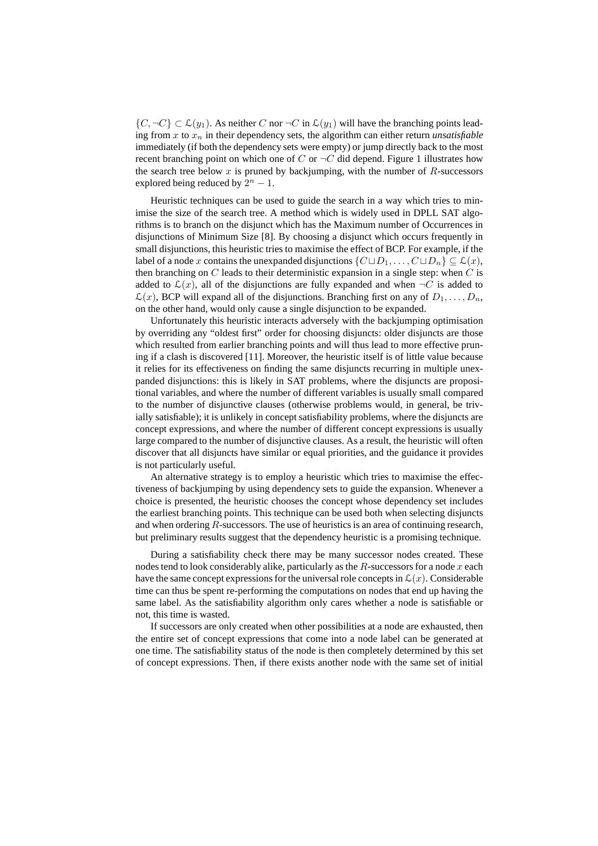$\{C, \neg C\} \subset \mathcal{L}(y_1)$ . As neither C nor  $\neg C$  in  $\mathcal{L}(y_1)$  will have the branching points leading from  $x$  to  $x_n$  in their dependency sets, the algorithm can either return *unsatisfiable* immediately (if both the dependency sets were empty) or jump directly back to the most recent branching point on which one of  $C$  or  $\neg C$  did depend. Figure 1 illustrates how the search tree below x is pruned by backjumping, with the number of  $R$ -successors explored being reduced by  $2^n - 1$ .

Heuristic techniques can be used to guide the search in a way which tries to minimise the size of the search tree. A method which is widely used in DPLL SAT algorithms is to branch on the disjunct which has the Maximum number of Occurrences in disjunctions of Minimum Size [8]. By choosing a disjunct which occurs frequently in small disjunctions, this heuristic tries to maximise the effect of BCP. For example, if the label of a node x contains the unexpanded disjunctions  $\{C \sqcup D_1, \ldots, C \sqcup D_n\} \subset \mathcal{L}(x)$ , then branching on  $C$  leads to their deterministic expansion in a single step: when  $C$  is added to  $\mathcal{L}(x)$ , all of the disjunctions are fully expanded and when  $\neg C$  is added to  $\mathcal{L}(x)$ , BCP will expand all of the disjunctions. Branching first on any of  $D_1, \ldots, D_n$ , on the other hand, would only cause a single disjunction to be expanded.

Unfortunately this heuristic interacts adversely with the backjumping optimisation by overriding any "oldest first" order for choosing disjuncts: older disjuncts are those which resulted from earlier branching points and will thus lead to more effective pruning if a clash is discovered [11]. Moreover, the heuristic itself is of little value because it relies for its effectiveness on finding the same disjuncts recurring in multiple unexpanded disjunctions: this is likely in SAT problems, where the disjuncts are propositional variables, and where the number of different variables is usually small compared to the number of disjunctive clauses (otherwise problems would, in general, be trivially satisfiable); it is unlikely in concept satisfiability problems, where the disjuncts are concept expressions, and where the number of different concept expressions is usually large compared to the number of disjunctive clauses. As a result, the heuristic will often discover that all disjuncts have similar or equal priorities, and the guidance it provides is not particularly useful.

An alternative strategy is to employ a heuristic which tries to maximise the effectiveness of backjumping by using dependency sets to guide the expansion. Whenever a choice is presented, the heuristic chooses the concept whose dependency set includes the earliest branching points. This technique can be used both when selecting disjuncts and when ordering  $R$ -successors. The use of heuristics is an area of continuing research, but preliminary results suggest that the dependency heuristic is a promising technique.

During a satisfiability check there may be many successor nodes created. These nodes tend to look considerably alike, particularly as the  $R$ -successors for a node  $x$  each have the same concept expressions for the universal role concepts in  $\mathcal{L}(x)$ . Considerable time can thus be spent re-performing the computations on nodes that end up having the same label. As the satisfiability algorithm only cares whether a node is satisfiable or not, this time is wasted.

If successors are only created when other possibilities at a node are exhausted, then the entire set of concept expressions that come into a node label can be generated at one time. The satisfiability status of the node is then completely determined by this set of concept expressions. Then, if there exists another node with the same set of initial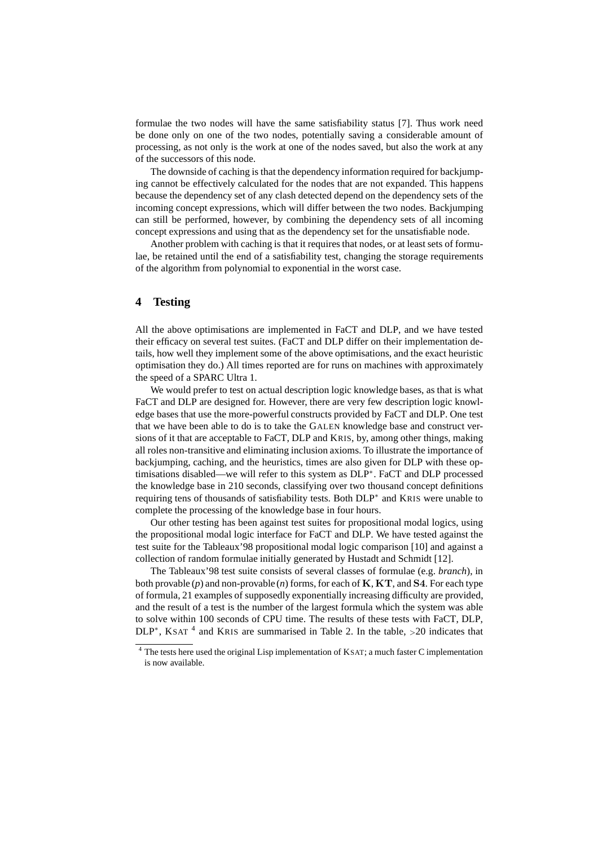formulae the two nodes will have the same satisfiability status [7]. Thus work need be done only on one of the two nodes, potentially saving a considerable amount of processing, as not only is the work at one of the nodes saved, but also the work at any of the successors of this node.

The downside of caching is that the dependency information required for backjumping cannot be effectively calculated for the nodes that are not expanded. This happens because the dependency set of any clash detected depend on the dependency sets of the incoming concept expressions, which will differ between the two nodes. Backjumping can still be performed, however, by combining the dependency sets of all incoming concept expressions and using that as the dependency set for the unsatisfiable node.

Another problem with caching is that it requires that nodes, or at least sets of formulae, be retained until the end of a satisfiability test, changing the storage requirements of the algorithm from polynomial to exponential in the worst case.

# **4 Testing**

All the above optimisations are implemented in FaCT and DLP, and we have tested their efficacy on several test suites. (FaCT and DLP differ on their implementation details, how well they implement some of the above optimisations, and the exact heuristic optimisation they do.) All times reported are for runs on machines with approximately the speed of a SPARC Ultra 1.

We would prefer to test on actual description logic knowledge bases, as that is what FaCT and DLP are designed for. However, there are very few description logic knowledge bases that use the more-powerful constructs provided by FaCT and DLP. One test that we have been able to do is to take the GALEN knowledge base and construct versions of it that are acceptable to FaCT, DLP and KRIS, by, among other things, making all roles non-transitive and eliminating inclusion axioms. To illustrate the importance of backjumping, caching, and the heuristics, times are also given for DLP with these optimisations disabled—we will refer to this system as DLP<sup>∗</sup> . FaCT and DLP processed the knowledge base in 210 seconds, classifying over two thousand concept definitions requiring tens of thousands of satisfiability tests. Both DLP<sup>∗</sup> and KRIS were unable to complete the processing of the knowledge base in four hours.

Our other testing has been against test suites for propositional modal logics, using the propositional modal logic interface for FaCT and DLP. We have tested against the test suite for the Tableaux'98 propositional modal logic comparison [10] and against a collection of random formulae initially generated by Hustadt and Schmidt [12].

The Tableaux'98 test suite consists of several classes of formulae (e.g. *branch*), in both provable  $(p)$  and non-provable  $(n)$  forms, for each of  $K, KT$ , and  $S4$ . For each type of formula, 21 examples of supposedly exponentially increasing difficulty are provided, and the result of a test is the number of the largest formula which the system was able to solve within 100 seconds of CPU time. The results of these tests with FaCT, DLP, DLP<sup>\*</sup>, KSAT<sup>4</sup> and KRIS are summarised in Table 2. In the table, >20 indicates that

<sup>&</sup>lt;sup>4</sup> The tests here used the original Lisp implementation of KSAT; a much faster C implementation is now available.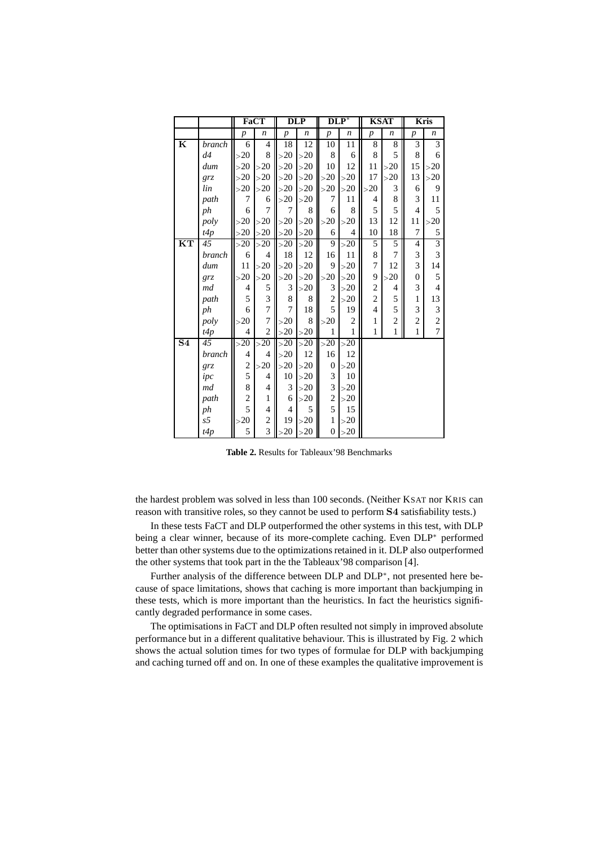|             |                | FaCT             |                          | <b>DLP</b>       |                  | $DLP^*$          |                  | <b>KSAT</b>      |                  | <b>Kris</b>      |                  |
|-------------|----------------|------------------|--------------------------|------------------|------------------|------------------|------------------|------------------|------------------|------------------|------------------|
|             |                | $\boldsymbol{p}$ | $\boldsymbol{n}$         | $\boldsymbol{p}$ | $\boldsymbol{n}$ | $\boldsymbol{p}$ | $\boldsymbol{n}$ | $\boldsymbol{p}$ | $\boldsymbol{n}$ | $\boldsymbol{p}$ | $\boldsymbol{n}$ |
| $\mathbf K$ | branch         | 6                | $\overline{4}$           | 18               | 12               | 10               | 11               | 8                | 8                | 3                | 3                |
|             | d4             | >20              | 8                        | >20              | >20              | 8                | 6                | 8                | 5                | 8                | 6                |
|             | dum            | >20              | ${>}20$                  | >20              | >20              | 10               | 12               | 11               | >20              | 15               | >20              |
|             | grz            | >20              | ${>}20$                  | >20              | >20              | >20              | $>20$            | 17               | >20              | 13               | >20              |
|             | lin            | >20              | ${>}20$                  | $>20$            | >20              | ${>}20$          | >20              | >20              | 3                | 6                | 9                |
|             | path           | 7                | 6                        | >20              | >20              | 7                | 11               | 4                | 8                | 3                | 11               |
|             | ph             | 6                | $\overline{7}$           | 7                | 8                | 6                | 8                | 5                | 5                | $\overline{4}$   | 5                |
|             | poly           | >20              | ${>}20$                  | >20              | >20              | >20              | $>20$            | 13               | 12               | 11               | >20              |
|             | t4p            | >20              | ${>}20$                  | ${>}20$          | ${>}20$          | 6                | $\overline{4}$   | 10               | 18               | $\overline{7}$   | 5                |
| KT          | 45             | >20              | >20                      | >20              | >20              | 9                | >20              | 5                | 5                | $\overline{4}$   | $\overline{3}$   |
|             | branch         | 6                | $\overline{4}$           | 18               | 12               | 16               | 11               | 8                | $\overline{7}$   | 3                | $\overline{3}$   |
|             | dum            | 11               | ${>}20$                  | >20              | >20              | 9                | >20              | 7                | 12               | 3                | 14               |
|             | grz            | >20              | >20                      | >20              | >20              | >20              | >20              | 9                | >20              | $\Omega$         | 5                |
|             | md             | 4                | 5                        | 3                | >20              | 3                | $>20$            | $\overline{c}$   | 4                | 3                | $\overline{4}$   |
|             | path           | 5                | 3                        | 8                | 8                | $\overline{c}$   | >20              | $\overline{c}$   | 5                | $\mathbf{1}$     | 13               |
|             | ph             | 6                | $\overline{7}$           | 7                | 18               | 5                | 19               | $\overline{4}$   | 5                | 3                | $\mathfrak{Z}$   |
|             | poly           | ${>}20$          | 7                        | >20              | 8                | >20              | $\overline{c}$   | $\mathbf{1}$     | $\overline{c}$   | $\overline{2}$   | $\sqrt{2}$       |
|             | t4p            | 4                | $\overline{c}$           | ${>}20$          | ${>}20$          | 1                | $\mathbf{1}$     | $\mathbf{1}$     | $\mathbf{1}$     | $\mathbf{1}$     | $\overline{7}$   |
| <b>S4</b>   | 45             | >20              | >20                      | ${>}20$          | >20              | >20              | >20              |                  |                  |                  |                  |
|             | branch         | 4                | $\overline{4}$           | >20              | 12               | 16               | 12               |                  |                  |                  |                  |
|             | grz            | 2                | >20                      | >20              | >20              | $\overline{0}$   | >20              |                  |                  |                  |                  |
|             | ipc            | 5                | 4                        | 10               | >20              | 3                | 10               |                  |                  |                  |                  |
|             | md             | 8                | $\overline{4}$           | 3                | ${>}20$          | 3                | $>20$            |                  |                  |                  |                  |
|             | path           | 2                | $\mathbf{1}$             | 6                | >20              | $\overline{c}$   | >20              |                  |                  |                  |                  |
|             | ph             | 5                | $\overline{\mathcal{L}}$ | 4                | 5                | 5                | 15               |                  |                  |                  |                  |
|             | s <sub>5</sub> | >20              | $\overline{c}$           | 19               | >20              | 1                | >20              |                  |                  |                  |                  |
|             | t4p            | 5                | $\overline{3}$           | >20              | >20              | $\boldsymbol{0}$ | >20              |                  |                  |                  |                  |

**Table 2.** Results for Tableaux'98 Benchmarks

the hardest problem was solved in less than 100 seconds. (Neither KSAT nor KRIS can reason with transitive roles, so they cannot be used to perform S4 satisfiability tests.)

In these tests FaCT and DLP outperformed the other systems in this test, with DLP being a clear winner, because of its more-complete caching. Even DLP<sup>∗</sup> performed better than other systems due to the optimizations retained in it. DLP also outperformed the other systems that took part in the the Tableaux'98 comparison [4].

Further analysis of the difference between DLP and DLP<sup>∗</sup> , not presented here because of space limitations, shows that caching is more important than backjumping in these tests, which is more important than the heuristics. In fact the heuristics significantly degraded performance in some cases.

The optimisations in FaCT and DLP often resulted not simply in improved absolute performance but in a different qualitative behaviour. This is illustrated by Fig. 2 which shows the actual solution times for two types of formulae for DLP with backjumping and caching turned off and on. In one of these examples the qualitative improvement is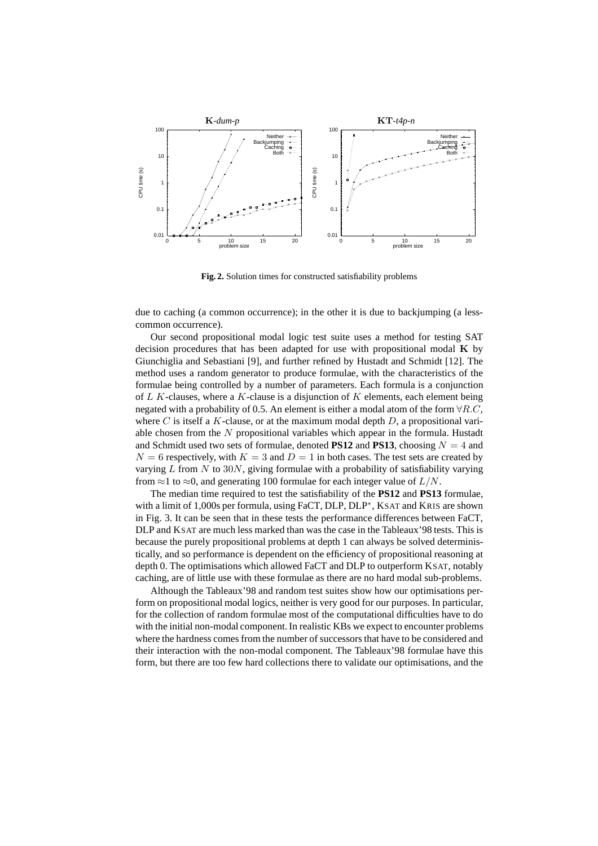

**Fig. 2.** Solution times for constructed satisfiability problems

due to caching (a common occurrence); in the other it is due to backjumping (a lesscommon occurrence).

Our second propositional modal logic test suite uses a method for testing SAT decision procedures that has been adapted for use with propositional modal K by Giunchiglia and Sebastiani [9], and further refined by Hustadt and Schmidt [12]. The method uses a random generator to produce formulae, with the characteristics of the formulae being controlled by a number of parameters. Each formula is a conjunction of L K-clauses, where a K-clause is a disjunction of K elements, each element being negated with a probability of 0.5. An element is either a modal atom of the form  $\forall R.C$ , where C is itself a K-clause, or at the maximum modal depth  $D$ , a propositional variable chosen from the  $N$  propositional variables which appear in the formula. Hustadt and Schmidt used two sets of formulae, denoted **PS12** and **PS13**, choosing  $N = 4$  and  $N = 6$  respectively, with  $K = 3$  and  $D = 1$  in both cases. The test sets are created by varying  $L$  from  $N$  to 30 $N$ , giving formulae with a probability of satisfiability varying from  $\approx$ 1 to  $\approx$ 0, and generating 100 formulae for each integer value of  $L/N$ .

The median time required to test the satisfiability of the **PS12** and **PS13** formulae, with a limit of 1,000s per formula, using FaCT, DLP, DLP<sup>\*</sup>, KSAT and KRIS are shown in Fig. 3. It can be seen that in these tests the performance differences between FaCT, DLP and KSAT are much less marked than was the case in the Tableaux'98 tests. This is because the purely propositional problems at depth 1 can always be solved deterministically, and so performance is dependent on the efficiency of propositional reasoning at depth 0. The optimisations which allowed FaCT and DLP to outperform KSAT, notably caching, are of little use with these formulae as there are no hard modal sub-problems.

Although the Tableaux'98 and random test suites show how our optimisations perform on propositional modal logics, neither is very good for our purposes. In particular, for the collection of random formulae most of the computational difficulties have to do with the initial non-modal component. In realistic KBs we expect to encounter problems where the hardness comes from the number of successors that have to be considered and their interaction with the non-modal component. The Tableaux'98 formulae have this form, but there are too few hard collections there to validate our optimisations, and the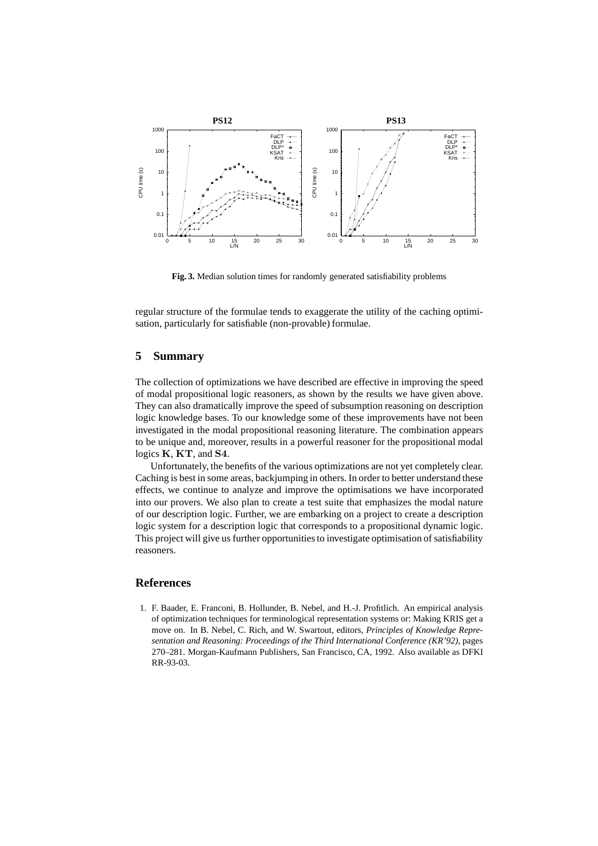

**Fig. 3.** Median solution times for randomly generated satisfiability problems

regular structure of the formulae tends to exaggerate the utility of the caching optimisation, particularly for satisfiable (non-provable) formulae.

# **5 Summary**

The collection of optimizations we have described are effective in improving the speed of modal propositional logic reasoners, as shown by the results we have given above. They can also dramatically improve the speed of subsumption reasoning on description logic knowledge bases. To our knowledge some of these improvements have not been investigated in the modal propositional reasoning literature. The combination appears to be unique and, moreover, results in a powerful reasoner for the propositional modal logics K, KT, and S4.

Unfortunately, the benefits of the various optimizations are not yet completely clear. Caching is best in some areas, backjumping in others. In order to better understand these effects, we continue to analyze and improve the optimisations we have incorporated into our provers. We also plan to create a test suite that emphasizes the modal nature of our description logic. Further, we are embarking on a project to create a description logic system for a description logic that corresponds to a propositional dynamic logic. This project will give us further opportunities to investigate optimisation of satisfiability reasoners.

#### **References**

1. F. Baader, E. Franconi, B. Hollunder, B. Nebel, and H.-J. Profitlich. An empirical analysis of optimization techniques for terminological representation systems or: Making KRIS get a move on. In B. Nebel, C. Rich, and W. Swartout, editors, *Principles of Knowledge Representation and Reasoning: Proceedings of the Third International Conference (KR'92)*, pages 270–281. Morgan-Kaufmann Publishers, San Francisco, CA, 1992. Also available as DFKI RR-93-03.